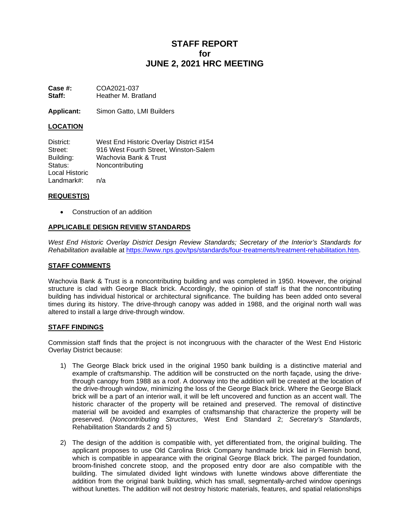# **STAFF REPORT for JUNE 2, 2021 HRC MEETING**

| Case  #: | COA2021-037         |
|----------|---------------------|
| Staff:   | Heather M. Bratland |

**Applicant:** Simon Gatto, LMI Builders

# **LOCATION**

| District:      | West End Historic Overlay District #154 |
|----------------|-----------------------------------------|
| Street:        | 916 West Fourth Street, Winston-Salem   |
| Building:      | Wachovia Bank & Trust                   |
| Status:        | Noncontributing                         |
| Local Historic |                                         |
| Landmark#:     | n/a                                     |

## **REQUEST(S)**

• Construction of an addition

# **APPLICABLE DESIGN REVIEW STANDARDS**

*West End Historic Overlay District Design Review Standards; Secretary of the Interior's Standards for Rehabilitation* available at [https://www.nps.gov/tps/standards/four-treatments/treatment-rehabilitation.htm.](https://www.nps.gov/tps/standards/four-treatments/treatment-rehabilitation.htm)

## **STAFF COMMENTS**

Wachovia Bank & Trust is a noncontributing building and was completed in 1950. However, the original structure is clad with George Black brick. Accordingly, the opinion of staff is that the noncontributing building has individual historical or architectural significance. The building has been added onto several times during its history. The drive-through canopy was added in 1988, and the original north wall was altered to install a large drive-through window.

## **STAFF FINDINGS**

Commission staff finds that the project is not incongruous with the character of the West End Historic Overlay District because:

- 1) The George Black brick used in the original 1950 bank building is a distinctive material and example of craftsmanship. The addition will be constructed on the north façade, using the drivethrough canopy from 1988 as a roof. A doorway into the addition will be created at the location of the drive-through window, minimizing the loss of the George Black brick. Where the George Black brick will be a part of an interior wall, it will be left uncovered and function as an accent wall. The historic character of the property will be retained and preserved. The removal of distinctive material will be avoided and examples of craftsmanship that characterize the property will be preserved. (*Noncontributing Structures*, West End Standard 2; *Secretary's Standards*, Rehabilitation Standards 2 and 5)
- 2) The design of the addition is compatible with, yet differentiated from, the original building. The applicant proposes to use Old Carolina Brick Company handmade brick laid in Flemish bond, which is compatible in appearance with the original George Black brick. The parged foundation, broom-finished concrete stoop, and the proposed entry door are also compatible with the building. The simulated divided light windows with lunette windows above differentiate the addition from the original bank building, which has small, segmentally-arched window openings without lunettes. The addition will not destroy historic materials, features, and spatial relationships